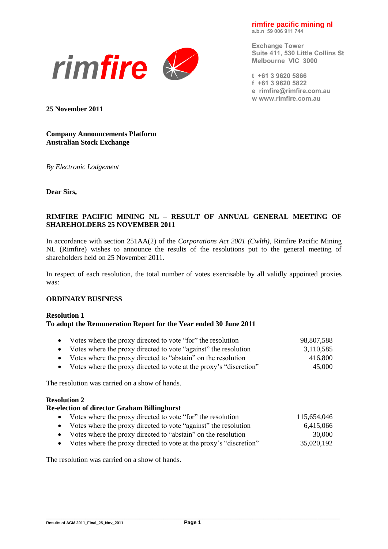**rimfire pacific mining nl a.b.n 59 006 911 744**



**Exchange Tower Suite 411, 530 Little Collins St Melbourne VIC 3000**

**t +61 3 9620 5866 f +61 3 9620 5822 e [rimfire@rimfire.com.au](mailto:rimfire@rimfire.com.au) w [www.rimfire.com.au](http://www.rimfire.com.au/)**

**25 November 2011**

**Company Announcements Platform Australian Stock Exchange**

*By Electronic Lodgement*

**Dear Sirs,**

# **RIMFIRE PACIFIC MINING NL – RESULT OF ANNUAL GENERAL MEETING OF SHAREHOLDERS 25 NOVEMBER 2011**

In accordance with section 251AA(2) of the *Corporations Act 2001 (Cwlth)*, Rimfire Pacific Mining NL (Rimfire) wishes to announce the results of the resolutions put to the general meeting of shareholders held on 25 November 2011.

In respect of each resolution, the total number of votes exercisable by all validly appointed proxies was:

### **ORDINARY BUSINESS**

#### **Resolution 1 To adopt the Remuneration Report for the Year ended 30 June 2011**

| Votes where the proxy directed to vote "for" the resolution<br>Votes where the proxy directed to vote "against" the resolution<br>Votes where the proxy directed to "abstain" on the resolution<br>$\bullet$<br>Votes where the proxy directed to vote at the proxy's "discretion"<br>$\bullet$ | 98,807,588<br>3,110,585<br>416,800<br>45,000 |
|-------------------------------------------------------------------------------------------------------------------------------------------------------------------------------------------------------------------------------------------------------------------------------------------------|----------------------------------------------|
| The resolution was carried on a show of hands.                                                                                                                                                                                                                                                  |                                              |
| <b>Resolution 2</b>                                                                                                                                                                                                                                                                             |                                              |
| <b>Re-election of director Graham Billinghurst</b>                                                                                                                                                                                                                                              |                                              |
| Votes where the proxy directed to vote "for" the resolution<br>$\bullet$                                                                                                                                                                                                                        | 115,654,046                                  |
| Votes where the proxy directed to vote "against" the resolution<br>$\bullet$                                                                                                                                                                                                                    | 6,415,066                                    |
| Votes where the proxy directed to "abstain" on the resolution<br>$\bullet$                                                                                                                                                                                                                      | 30,000                                       |
| Votes where the proxy directed to vote at the proxy's "discretion"                                                                                                                                                                                                                              | 35,020,192                                   |

The resolution was carried on a show of hands.